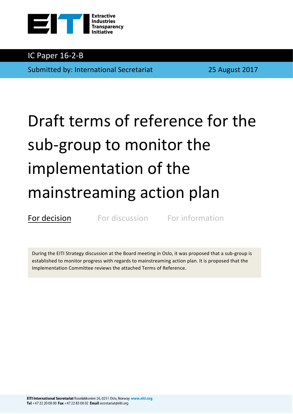

# IC Paper 16-2-B

Submitted by: International Secretariat 25 August 2017

# Draft terms of reference for the sub-group to monitor the implementation of the mainstreaming action plan

For decision For discussion For information

During the EITI Strategy discussion at the Board meeting in Oslo, it was proposed that a sub-group is established to monitor progress with regards to mainstreaming action plan. It is proposed that the Implementation Committee reviews the attached Terms of Reference.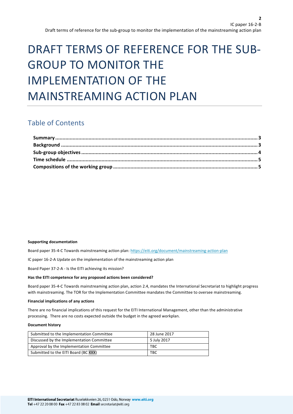# DRAFT TERMS OF REFERENCE FOR THE SUB-**GROUP TO MONITOR THE** IMPLEMENTATION OF THE MAINSTREAMING ACTION PLAN

# Table of Contents

#### **Supporting documentation**

Board paper 35-4-C Towards mainstreaming action plan: https://eiti.org/document/mainstreaming-action-plan

IC paper 16-2-A Update on the implementation of the mainstreaming action plan

Board Paper 37-2-A - Is the EITI achieving its mission?

#### Has the EITI competence for any proposed actions been considered?

Board paper 35-4-C Towards mainstreaming action plan, action 2.4, mandates the International Secretariat to highlight progress with mainstreaming. The TOR for the Implementation Committee mandates the Committee to oversee mainstreaming.

#### **Financial implications of any actions**

There are no financial implications of this request for the EITI International Management, other than the administrative processing. There are no costs expected outside the budget in the agreed workplan.

#### **Document history**

| Submitted to the Implementation Committee | 28 June 2017 |
|-------------------------------------------|--------------|
| Discussed by the Implementation Committee | 5 July 2017  |
| Approval by the Implementation Committee  | твс          |
| Submitted to the EITI Board (BC XXX)      | <b>TBC</b>   |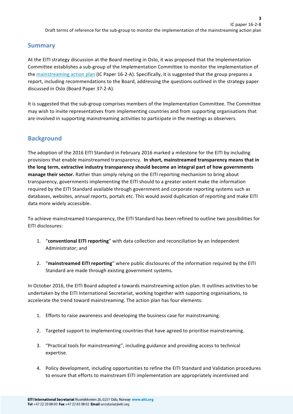**3**

### **Summary**

At the EITI strategy discussion at the Board meeting in Oslo, it was proposed that the Implementation Committee establishes a sub-group of the Implementation Committee to monitor the implementation of the mainstreaming action plan (IC Paper 16-2-A). Specifically, it is suggested that the group prepares a report, including recommendations to the Board, addressing the questions outlined in the strategy paper discussed in Oslo (Board Paper 37-2-A).

It is suggested that the sub-group comprises members of the Implementation Committee. The Committee may wish to invite representatives from implementing countries and from supporting organisations that are involved in supporting mainstreaming activities to participate in the meetings as observers.

# **Background**

The adoption of the 2016 EITI Standard in February 2016 marked a milestone for the EITI by including provisions that enable mainstreamed transparency. In short, mainstreamed transparency means that in the long term, extractive industry transparency should become an integral part of how governments manage their sector. Rather than simply relying on the EITI reporting mechanism to bring about transparency, governments implementing the EITI should to a greater extent make the information required by the EITI Standard available through government and corporate reporting systems such as databases, websites, annual reports, portals etc. This would avoid duplication of reporting and make EITI data more widely accessible.

To achieve mainstreamed transparency, the EITI Standard has been refined to outline two possibilities for EITI disclosures:

- 1. "**conventional EITI reporting**" with data collection and reconciliation by an Independent Administrator; and
- 2. "mainstreamed EITI reporting" where public disclosures of the information required by the EITI Standard are made through existing government systems.

In October 2016, the EITI Board adopted a towards mainstreaming action plan. It outlines activities to be undertaken by the EITI International Secretariat, working together with supporting organisations, to accelerate the trend toward mainstreaming. The action plan has four elements:

- 1. Efforts to raise awareness and developing the business case for mainstreaming.
- 2. Targeted support to implementing countries that have agreed to prioritise mainstreaming.
- 3. "Practical tools for mainstreaming", including guidance and providing access to technical expertise.
- 4. Policy development, including opportunities to refine the EITI Standard and Validation procedures to ensure that efforts to mainstream EITI implementation are appropriately incentivised and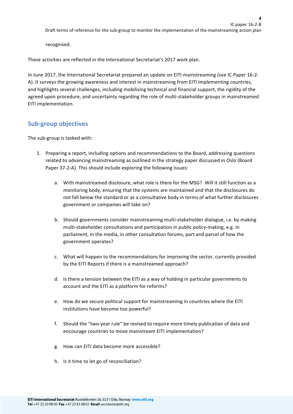recognised. 

These activities are reflected in the International Secretariat's 2017 work plan.

In June 2017, the International Secretariat prepared an update on EITI mainstreaming (see IC Paper 16-2-A). It surveys the growing awareness and interest in mainstreaming from EITI Implementing countries, and highlights several challenges, including mobilising technical and financial support, the rigidity of the agreed upon procedure, and uncertainty regarding the role of multi-stakeholder groups in mainstreamed EITI implementation.

## **Sub-group objectives**

The sub-group is tasked with:

- 1. Preparing a report, including options and recommendations to the Board, addressing questions related to advancing mainstreaming as outlined in the strategy paper discussed in Oslo (Board Paper 37-2-A). This should include exploring the following issues:
	- a. With mainstreamed disclosure, what role is there for the MSG? Will it still function as a monitoring body, ensuring that the systems are maintained and that the disclosures do not fall below the standard or as a consultative body in terms of what further disclosures government or companies will take on?
	- b. Should governments consider mainstreaming multi-stakeholder dialogue, i.e. by making multi-stakeholder consultations and participation in public policy-making, e.g. in parliament, in the media, in other consultation forums, part and parcel of how the government operates?
	- c. What will happen to the recommendations for improving the sector, currently provided by the EITI Reports if there is a mainstreamed approach?
	- d. Is there a tension between the EITI as a way of holding in particular governments to account and the EITI as a platform for reforms?
	- e. How do we secure political support for mainstreaming in countries where the EITI institutions have become too powerful?
	- f. Should the "two-year rule" be revised to require more timely publication of data and encourage countries to move mainstream EITI implementation?
	- g. How can EITI data become more accessible?
	- h. Is it time to let go of reconciliation?